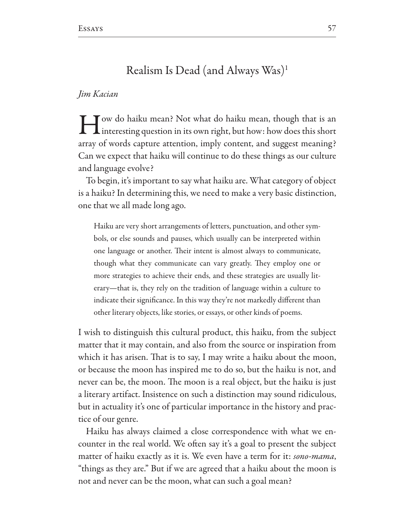## Realism Is Dead (and Always Was)<sup>1</sup>

## Jim Kacian

I Jow do haiku mean? Not what do haiku mean, though that is an interesting question in its own right, but how: how does this short array of words capture attention, imply content, and suggest meaning? Can we expect that haiku will continue to do these things as our culture and language evolve?

To begin, it's important to say what haiku are. What category of object is a haiku? In determining this, we need to make a very basic distinction, one that we all made long ago.

Haiku are very short arrangements of letters, punctuation, and other symbols, or else sounds and pauses, which usually can be interpreted within one language or another. Their intent is almost always to communicate, though what they communicate can vary greatly. They employ one or more strategies to achieve their ends, and these strategies are usually literary—that is, they rely on the tradition of language within a culture to indicate their significance. In this way they're not markedly different than other literary objects, like stories, or essays, or other kinds of poems.

I wish to distinguish this cultural product, this haiku, from the subject matter that it may contain, and also from the source or inspiration from which it has arisen. That is to say, I may write a haiku about the moon, or because the moon has inspired me to do so, but the haiku is not, and never can be, the moon. The moon is a real object, but the haiku is just a literary artifact. Insistence on such a distinction may sound ridiculous, but in actuality it's one of particular importance in the history and practice of our genre.

Haiku has always claimed a close correspondence with what we encounter in the real world. We often say it's a goal to present the subject matter of haiku exactly as it is. We even have a term for it: sono-mama, "things as they are." But if we are agreed that a haiku about the moon is not and never can be the moon, what can such a goal mean?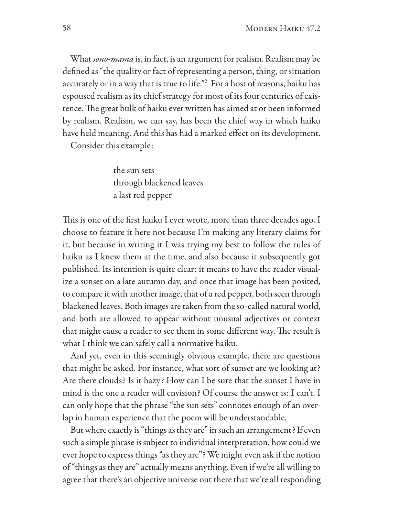What sono-mama is, in fact, is an argument for realism. Realism may be defined as "the quality or fact of representing a person, thing, or situation accurately or in a way that is true to life."<sup>2</sup> For a host of reasons, haiku has espoused realism as its chief strategy for most of its four centuries of existence. The great bulk of haiku ever written has aimed at or been informed by realism. Realism, we can say, has been the chief way in which haiku have held meaning. And this has had a marked effect on its development.

Consider this example:

the sun sets through blackened leaves a last red pepper

This is one of the first haiku I ever wrote, more than three decades ago. I choose to feature it here not because I'm making any literary claims for it, but because in writing it I was trying my best to follow the rules of haiku as I knew them at the time, and also because it subsequently got published. Its intention is quite clear: it means to have the reader visualize a sunset on a late autumn day, and once that image has been posited, to compare it with another image, that of a red pepper, both seen through blackened leaves. Both images are taken from the so-called natural world, and both are allowed to appear without unusual adjectives or context that might cause a reader to see them in some different way. The result is what I think we can safely call a normative haiku.

And yet, even in this seemingly obvious example, there are questions that might be asked. For instance, what sort of sunset are we looking at? Are there clouds? Is it hazy? How can I be sure that the sunset I have in mind is the one a reader will envision? Of course the answer is: I can't. I can only hope that the phrase "the sun sets" connotes enough of an overlap in human experience that the poem will be understandable.

But where exactly is "things as they are" in such an arrangement? If even such a simple phrase is subject to individual interpretation, how could we ever hope to express things "as they are"? We might even ask if the notion of "things as they are" actually means anything. Even if we're all willing to agree that there's an objective universe out there that we're all responding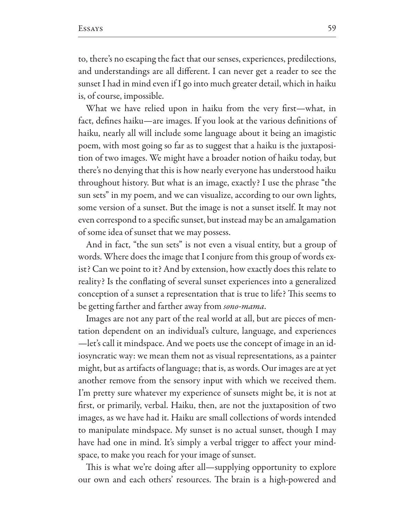to, there's no escaping the fact that our senses, experiences, predilections, and understandings are all different. I can never get a reader to see the sunset I had in mind even if I go into much greater detail, which in haiku is, of course, impossible.

What we have relied upon in haiku from the very first-what, in fact, defines haiku—are images. If you look at the various definitions of haiku, nearly all will include some language about it being an imagistic poem, with most going so far as to suggest that a haiku is the juxtaposition of two images. We might have a broader notion of haiku today, but there's no denying that this is how nearly everyone has understood haiku throughout history. But what is an image, exactly? I use the phrase "the sun sets" in my poem, and we can visualize, according to our own lights, some version of a sunset. But the image is not a sunset itself. It may not even correspond to a specific sunset, but instead may be an amalgamation of some idea of sunset that we may possess.

And in fact, "the sun sets" is not even a visual entity, but a group of words. Where does the image that I conjure from this group of words exist? Can we point to it? And by extension, how exactly does this relate to reality? Is the conflating of several sunset experiences into a generalized conception of a sunset a representation that is true to life? This seems to be getting farther and farther away from sono-mama.

Images are not any part of the real world at all, but are pieces of mentation dependent on an individual's culture, language, and experiences —let's call it mindspace. And we poets use the concept of image in an idiosyncratic way: we mean them not as visual representations, as a painter might, but as artifacts of language; that is, as words. Our images are at yet another remove from the sensory input with which we received them. I'm pretty sure whatever my experience of sunsets might be, it is not at first, or primarily, verbal. Haiku, then, are not the juxtaposition of two images, as we have had it. Haiku are small collections of words intended to manipulate mindspace. My sunset is no actual sunset, though I may have had one in mind. It's simply a verbal trigger to affect your mindspace, to make you reach for your image of sunset.

This is what we're doing after all—supplying opportunity to explore our own and each others' resources. The brain is a high-powered and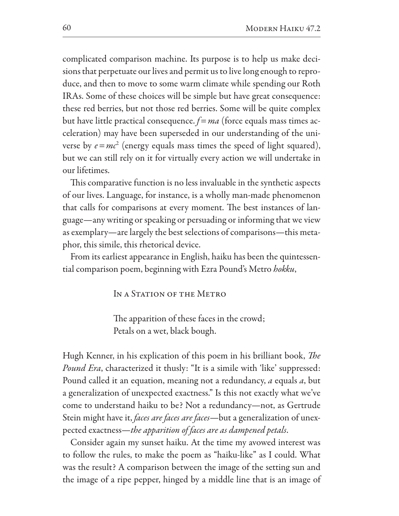complicated comparison machine. Its purpose is to help us make decisions that perpetuate our lives and permit us to live long enough to reproduce, and then to move to some warm climate while spending our Roth IRAs. Some of these choices will be simple but have great consequence: these red berries, but not those red berries. Some will be quite complex but have little practical consequence.  $f=ma$  (force equals mass times acceleration) may have been superseded in our understanding of the universe by  $e = mc^2$  (energy equals mass times the speed of light squared), but we can still rely on it for virtually every action we will undertake in our lifetimes.

This comparative function is no less invaluable in the synthetic aspects of our lives. Language, for instance, is a wholly man-made phenomenon that calls for comparisons at every moment. The best instances of language—any writing or speaking or persuading or informing that we view as exemplary—are largely the best selections of comparisons—this metaphor, this simile, this rhetorical device.

From its earliest appearance in English, haiku has been the quintessential comparison poem, beginning with Ezra Pound's Metro hokku,

IN A STATION OF THE METRO

The apparition of these faces in the crowd; Petals on a wet, black bough.

Hugh Kenner, in his explication of this poem in his brilliant book, *The Pound Era*, characterized it thusly: "It is a simile with 'like' suppressed: Pound called it an equation, meaning not a redundancy, *a* equals *a*, but a generalization of unexpected exactness." Is this not exactly what we've come to understand haiku to be? Not a redundancy—not, as Gertrude Stein might have it, *faces are faces are faces*—but a generalization of unexpected exactness—the apparition of faces are as dampened petals.

Consider again my sunset haiku. At the time my avowed interest was to follow the rules, to make the poem as "haiku-like" as I could. What was the result? A comparison between the image of the setting sun and the image of a ripe pepper, hinged by a middle line that is an image of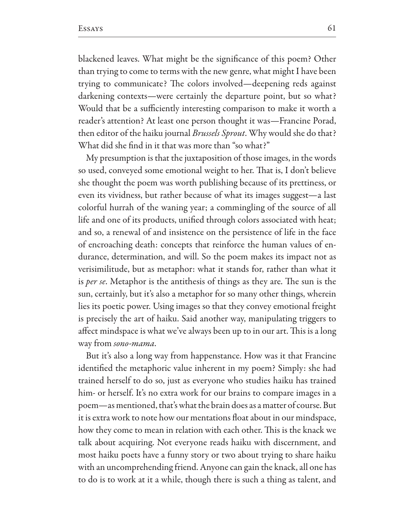blackened leaves. What might be the significance of this poem? Other than trying to come to terms with the new genre, what might I have been trying to communicate? The colors involved—deepening reds against darkening contexts—were certainly the departure point, but so what? Would that be a sufficiently interesting comparison to make it worth a reader's attention? At least one person thought it was—Francine Porad, then editor of the haiku journal Brussels Sprout. Why would she do that? What did she find in it that was more than "so what?"

My presumption is that the juxtaposition of those images, in the words so used, conveyed some emotional weight to her. That is, I don't believe she thought the poem was worth publishing because of its prettiness, or even its vividness, but rather because of what its images suggest—a last colorful hurrah of the waning year; a commingling of the source of all life and one of its products, unified through colors associated with heat; and so, a renewal of and insistence on the persistence of life in the face of encroaching death: concepts that reinforce the human values of endurance, determination, and will. So the poem makes its impact not as verisimilitude, but as metaphor: what it stands for, rather than what it is *per se*. Metaphor is the antithesis of things as they are. The sun is the sun, certainly, but it's also a metaphor for so many other things, wherein lies its poetic power. Using images so that they convey emotional freight is precisely the art of haiku. Said another way, manipulating triggers to affect mindspace is what we've always been up to in our art. This is a long way from sono-mama.

But it's also a long way from happenstance. How was it that Francine identified the metaphoric value inherent in my poem? Simply: she had trained herself to do so, just as everyone who studies haiku has trained him- or herself. It's no extra work for our brains to compare images in a poem—as mentioned, that's what the brain does as a matter of course. But it is extra work to note how our mentations float about in our mindspace, how they come to mean in relation with each other. This is the knack we talk about acquiring. Not everyone reads haiku with discernment, and most haiku poets have a funny story or two about trying to share haiku with an uncomprehending friend. Anyone can gain the knack, all one has to do is to work at it a while, though there is such a thing as talent, and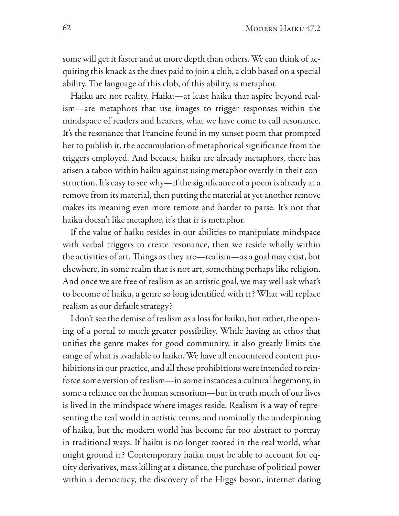some will get it faster and at more depth than others. We can think of acquiring this knack as the dues paid to join a club, a club based on a special ability. The language of this club, of this ability, is metaphor.

Haiku are not reality. Haiku—at least haiku that aspire beyond realism-are metaphors that use images to trigger responses within the mindspace of readers and hearers, what we have come to call resonance. It's the resonance that Francine found in my sunset poem that prompted her to publish it, the accumulation of metaphorical significance from the triggers employed. And because haiku are already metaphors, there has arisen a taboo within haiku against using metaphor overtly in their construction. It's easy to see why—if the significance of a poem is already at a remove from its material, then putting the material at yet another remove makes its meaning even more remote and harder to parse. It's not that haiku doesn't like metaphor, it's that it is metaphor.

If the value of haiku resides in our abilities to manipulate mindspace with verbal triggers to create resonance, then we reside wholly within the activities of art. Things as they are—realism—as a goal may exist, but elsewhere, in some realm that is not art, something perhaps like religion. And once we are free of realism as an artistic goal, we may well ask what's to become of haiku, a genre so long identified with it? What will replace realism as our default strategy?

I don't see the demise of realism as a loss for haiku, but rather, the opening of a portal to much greater possibility. While having an ethos that unifies the genre makes for good community, it also greatly limits the range of what is available to haiku. We have all encountered content prohibitions in our practice, and all these prohibitions were intended to reinforce some version of realism-in some instances a cultural hegemony, in some a reliance on the human sensorium-but in truth much of our lives is lived in the mindspace where images reside. Realism is a way of representing the real world in artistic terms, and nominally the underpinning of haiku, but the modern world has become far too abstract to portray in traditional ways. If haiku is no longer rooted in the real world, what might ground it? Contemporary haiku must be able to account for equity derivatives, mass killing at a distance, the purchase of political power within a democracy, the discovery of the Higgs boson, internet dating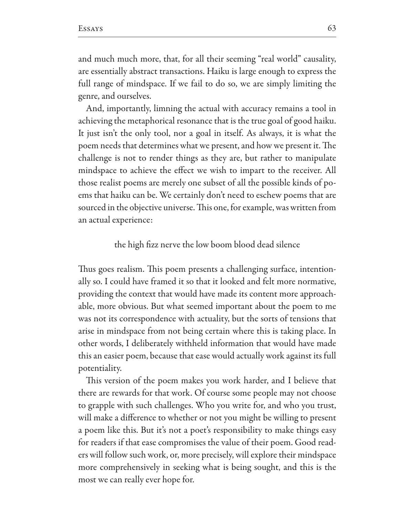and much much more, that, for all their seeming "real world" causality, are essentially abstract transactions. Haiku is large enough to express the full range of mindspace. If we fail to do so, we are simply limiting the genre, and ourselves.

And, importantly, limning the actual with accuracy remains a tool in achieving the metaphorical resonance that is the true goal of good haiku. It just isn't the only tool, nor a goal in itself. As always, it is what the poem needs that determines what we present, and how we present it. The challenge is not to render things as they are, but rather to manipulate mindspace to achieve the effect we wish to impart to the receiver. All those realist poems are merely one subset of all the possible kinds of poems that haiku can be. We certainly don't need to eschew poems that are sourced in the objective universe. This one, for example, was written from an actual experience:

## the high fizz nerve the low boom blood dead silence

Thus goes realism. This poem presents a challenging surface, intentionally so. I could have framed it so that it looked and felt more normative, providing the context that would have made its content more approachable, more obvious. But what seemed important about the poem to me was not its correspondence with actuality, but the sorts of tensions that arise in mindspace from not being certain where this is taking place. In other words, I deliberately withheld information that would have made this an easier poem, because that ease would actually work against its full potentiality.

This version of the poem makes you work harder, and I believe that there are rewards for that work. Of course some people may not choose to grapple with such challenges. Who you write for, and who you trust, will make a difference to whether or not you might be willing to present a poem like this. But it's not a poet's responsibility to make things easy for readers if that ease compromises the value of their poem. Good readers will follow such work, or, more precisely, will explore their mindspace more comprehensively in seeking what is being sought, and this is the most we can really ever hope for.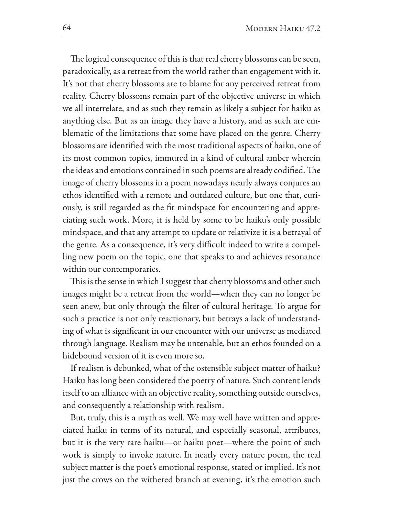The logical consequence of this is that real cherry blossoms can be seen, paradoxically, as a retreat from the world rather than engagement with it. It's not that cherry blossoms are to blame for any perceived retreat from reality. Cherry blossoms remain part of the objective universe in which we all interrelate, and as such they remain as likely a subject for haiku as anything else. But as an image they have a history, and as such are emblematic of the limitations that some have placed on the genre. Cherry blossoms are identified with the most traditional aspects of haiku, one of its most common topics, immured in a kind of cultural amber wherein the ideas and emotions contained in such poems are already codified. The image of cherry blossoms in a poem nowadays nearly always conjures an ethos identified with a remote and outdated culture, but one that, curiously, is still regarded as the fit mindspace for encountering and appreciating such work. More, it is held by some to be haiku's only possible mindspace, and that any attempt to update or relativize it is a betrayal of the genre. As a consequence, it's very difficult indeed to write a compelling new poem on the topic, one that speaks to and achieves resonance within our contemporaries.

This is the sense in which I suggest that cherry blossoms and other such images might be a retreat from the world—when they can no longer be seen anew, but only through the filter of cultural heritage. To argue for such a practice is not only reactionary, but betrays a lack of understanding of what is significant in our encounter with our universe as mediated through language. Realism may be untenable, but an ethos founded on a hidebound version of it is even more so.

If realism is debunked, what of the ostensible subject matter of haiku? Haiku has long been considered the poetry of nature. Such content lends itself to an alliance with an objective reality, something outside ourselves, and consequently a relationship with realism.

But, truly, this is a myth as well. We may well have written and appreciated haiku in terms of its natural, and especially seasonal, attributes, but it is the very rare haiku—or haiku poet—where the point of such work is simply to invoke nature. In nearly every nature poem, the real subject matter is the poet's emotional response, stated or implied. It's not just the crows on the withered branch at evening, it's the emotion such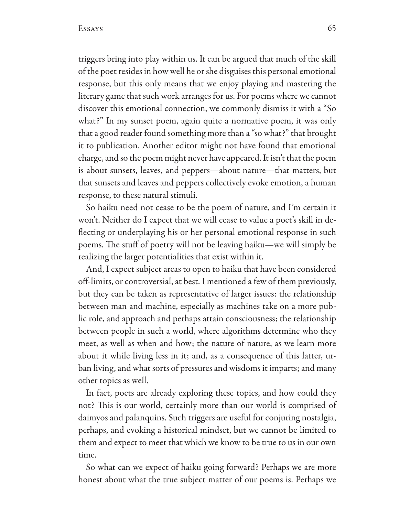triggers bring into play within us. It can be argued that much of the skill of the poet resides in how well he or she disguises this personal emotional response, but this only means that we enjoy playing and mastering the literary game that such work arranges for us. For poems where we cannot discover this emotional connection, we commonly dismiss it with a "So" what?" In my sunset poem, again quite a normative poem, it was only that a good reader found something more than a "so what?" that brought it to publication. Another editor might not have found that emotional charge, and so the poem might never have appeared. It isn't that the poem is about sunsets, leaves, and peppers—about nature—that matters, but that sunsets and leaves and peppers collectively evoke emotion, a human response, to these natural stimuli.

So haiku need not cease to be the poem of nature, and I'm certain it won't. Neither do I expect that we will cease to value a poet's skill in deflecting or underplaying his or her personal emotional response in such poems. The stuff of poetry will not be leaving haiku—we will simply be realizing the larger potentialities that exist within it.

And, I expect subject areas to open to haiku that have been considered off-limits, or controversial, at best. I mentioned a few of them previously, but they can be taken as representative of larger issues: the relationship between man and machine, especially as machines take on a more public role, and approach and perhaps attain consciousness; the relationship between people in such a world, where algorithms determine who they meet, as well as when and how; the nature of nature, as we learn more about it while living less in it; and, as a consequence of this latter, urban living, and what sorts of pressures and wisdoms it imparts; and many other topics as well.

In fact, poets are already exploring these topics, and how could they not? This is our world, certainly more than our world is comprised of daimyos and palanquins. Such triggers are useful for conjuring nostalgia, perhaps, and evoking a historical mindset, but we cannot be limited to them and expect to meet that which we know to be true to us in our own time.

So what can we expect of haiku going forward? Perhaps we are more honest about what the true subject matter of our poems is. Perhaps we